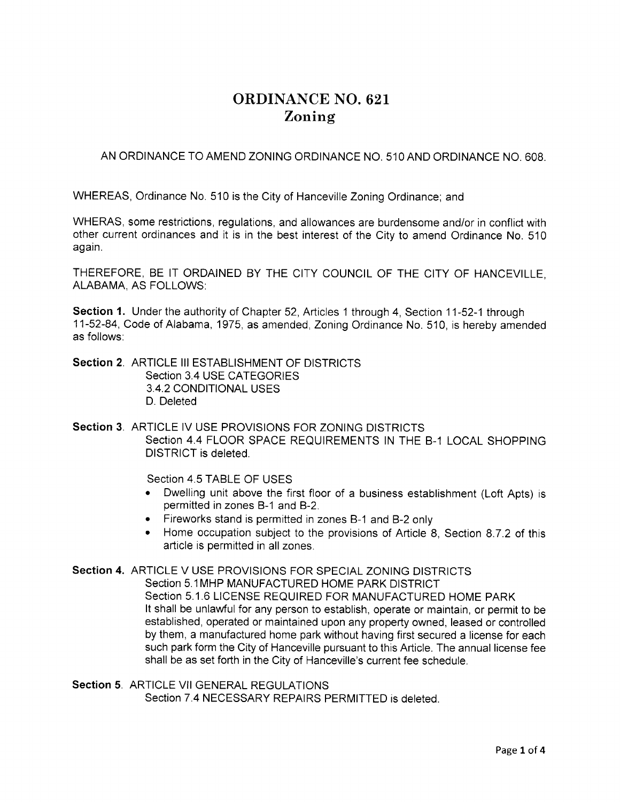# ORDINANCE NO. 621 Zoning

AN ORDINANCE TO AMEND ZONING ORDINANCE NO. 510 AND ORDINANCE NO. 608.

WHEREAS, Ordinance No. 510 is the City of Hanceville Zoning Ordinance, and

WHERAS, some restrictions, regulations, and allowances are burdensome and/or in conflict with other current ordinances and it is in the best interest of the City to amend Ordinance No. 510 again.

THEREFORE, BE IT ORDAINED BY THE CITY COUNCIL OF THE CITY OF HANCEVILLE, ALABAMA, AS FOLLOWS:

Section 1. Under the authority of Chapter 52, Articles 1 through 4, Section 11-52-1 through 11-52-84, Code of Alabama , 1975, as amended, Zoning Ordinance No. 5'10, is hereby amended as follows.

Section 2. ARTICLE III ESTABLISHMENT OF DISTRICTS Section 3.4 USE CATEGORIES 3 4.2 CONDITIONAL USES D. Deleted

Section 3. ARTICLE IV USE PROVISIONS FOR ZONING DISTRICTS Section 4.4 FLOOR SPACE REQUIREMENTS IN THE B-1 LOCAL SHOPPING DISTRICT is deleted

Section 4.5 TABLE OF USES

- Dwelling unit above the first floor of a business establishment (Loft Apts) is permitted in zones B-1 and B-2.
- . Fireworks stand is permitted in zones B-1 and B-2 only
- . Home occupation subject to the provisions of Article 8, Section 8.7.2 of this article is permitted in all zones.

Section 4. ARTICLE V USE PROVISIONS FOR SPECIAL ZONING DISTRICTS Section 5.1MHP MANUFACTURED HOME PARK DISTRICT Section 5 1.6 LICENSE REQUIRED FOR MANUFACTURED HOME PARK It shall be unlawful for any person to establish, operate or maintain, or permit to be established, operated or maintained upon any property owned, leased or controlled by them, a manufactured home park without having first secured a license for each such park form the City of Hanceville pursuant to this Article. The annual license fee

shall be as set forth in the City of Hanceville's current fee schedule.

Section 5. ARTICLE VII GENERAL REGULATIONS Section 7 4 NECESSARY REPAIRS PERMITTED is deleted.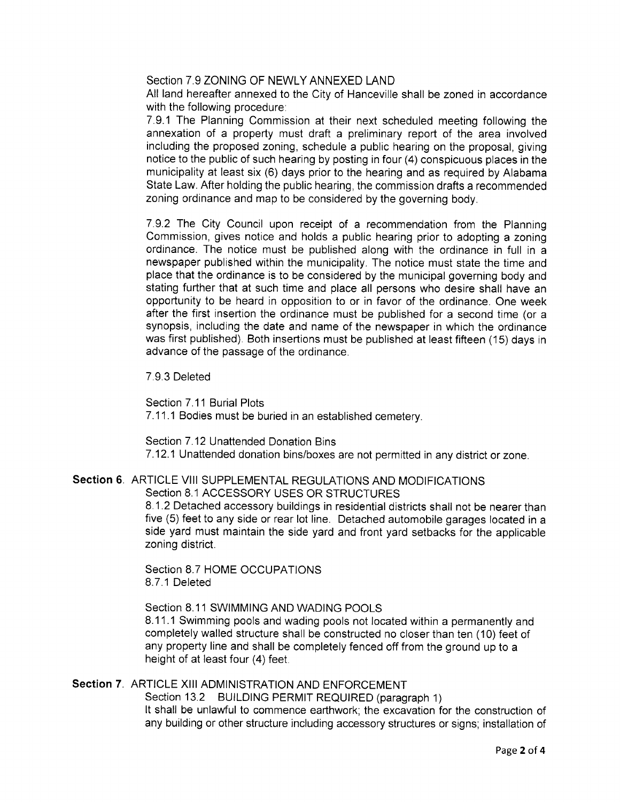Section 7.9 ZONING OF NEWLY ANNEXED LAND

All land hereafter annexed to the City of Hanceville shall be zoned in accordance with the following procedure:

7.9.1 The Planning Commission at their next scheduled meeting following the annexation of a property must draft a preliminary report of the area involved including the proposed zoning, schedule a public hearing on the proposal, giving notice to the public of such hearing by posting in four (4) conspicuous places in the municipality at least six (6) days prior to the hearing and as required by Alabama State Law. After holding the public hearing, the commission drafts a recommended zoning ordinance and map to be considered by the governing body.

7.9.2 The City Council upon receipt of a recommendation from the Planning Commission, gives notice and holds a public hearing prior to adopting a zoning ordinance. The notice must be published along with the ordinance in full in <sup>a</sup> newspaper published within the municipality. The notice must state the time and place that the ordinance is to be considered by the municipal governing body and stating further that at such time and place all persons who desire shall have an opportunity to be heard in opposition to or in favor of the ordinance. One week after the first insertion the ordinance must be published for a second time (or a synopsis, including the date and name of the newspaper in which the ordinance was first published). Both insertions must be published at least fifteen (15) days in advance of the passage of the ordinance.

7.9.3 Deleted

Section 7.11 Burial Plots 7.11.1 Bodies must be buried in an established cemetery.

Section 7.12 Unattended Donation Bins <sup>7</sup>.12.1 Unattended donation bins/boxes are not permitted in any district or zone.

### Section 6. ARTICLE VIII SUPPLEMENTAL REGULATIONS AND MODIFICATIONS Section 8.1 ACCESSORY USES OR STRUCTURES

8.1.2 Detached accessory buildings in residential districts shall not be nearerthan five (5) feet to any side or rear lot line. Detached automobile garages located in a side yard must maintain the side yard and front yard setbacks for the applicable zoning district.

Section 8.7 HOME OCCUPATIONS 8.7.1 Deleted

Section 8.11 SWIMMING AND WADING POOLS

8.11.1 Swimming pools and wading pools not located within a permanently and completely walled structure shall be constructed no closer than ten (10) feet of any property line and shall be completely fenced off from the ground up to a height of at least four (4) feet.

# Section 7. ARTICLE XIII ADMINISTRATION AND ENFORCEMENT

Section 13.2 BUILDING PERMIT REQUIRED (paragraph 1) It shall be unlawful to commence earthwork; the excavation for the construction of any building or other structure including accessory structures or signs; installation of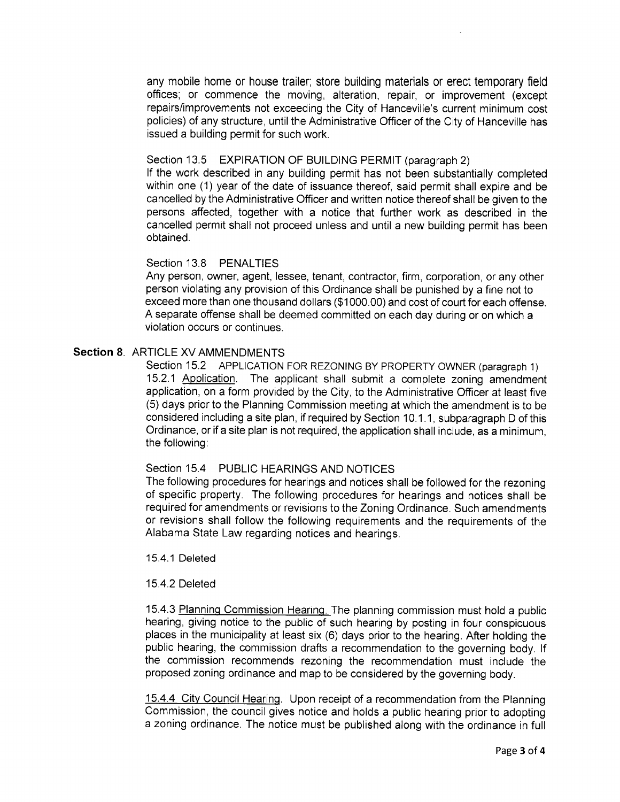any mobile home or house trailer; store building materials or erect temporary field offices; or commence the moving, alteration, repair, or improvement (except repairs/improvements not exceeding the City of Hanceville's current minimum cost policies) of any structure, until the Administrative Officer of the City of Hanceville has issued a building permit for such work.

#### Section 13.5 EXPIRATION OF BUILDING PERMIT (paragraph 2)

lf the work described in any building permit has not been substantially completed within one (1) year of the date of issuance thereof, said permit shall expire and be cancelled by the Administrative Officer and written notice thereof shall be given to the persons affected, together with a notice that further work as described in the cancelled permit shall not proceed unless and until a new building permit has been obtained.

#### Section 13.8 PENALTIES

Any person, owner, agent, lessee, tenant, contractor, firm, corporation, or any other person violating any provision of this Ordinance shall be punished by a fine not to exceed more than one thousand dollars (\$1000.00) and cost of court for each offense. A separate offense shall be deemed committed on each day during or on which a violation occurs or continues.

## Section 8. ARTICLE XV AMMENDMENTS

Section 15.2 APPLICATION FOR REZONING BY PROPERTY OWNER (paragraph 1) 15.2.1 Application. The applicant shall submit a complete zoning amendment application, on a form provided by the City, to the Administrative Officer at least five (5) days prior to the Planning Commission meeting at which the amendment is to be considered including a site plan, if required by Section 10.1.1, subparagraph D of this Ordinance, or if a site plan is not required, the application shall include, as a minimum, the following:

## Section 15.4 PUBLIC HEARINGS AND NOTICES

The following procedures for hearings and notices shall be followed for the rezoning of specific property. The following procedures for hearings and notices shall be required for amendments or revisions to the Zoning Ordinance. Such amendments or revisions shall follow the following requirements and the requirements of the Alabama State Law regarding notices and hearings.

#### 15.4.1 Deleted

#### 15.4.2 Deleted

15.4.3 Planning Commission Hearing. The planning commission must hold a public hearing, giving notice to the public of such hearing by posting in four conspicuous places in the municipality at least six (6) days prior to the hearing. After holding the public hearing, the commission drafts a recommendation to the governing body. lf the commission recommends rezoning the recommendation must include the proposed zoning ordinance and map to be considered by the governing body.

15.4.4 City Council Hearing. Upon receipt of a recommendation from the Planning Commission, the council gives notice and holds a public hearing prior to adopting a zoning ordinance. The notice must be published along with the ordinance in full